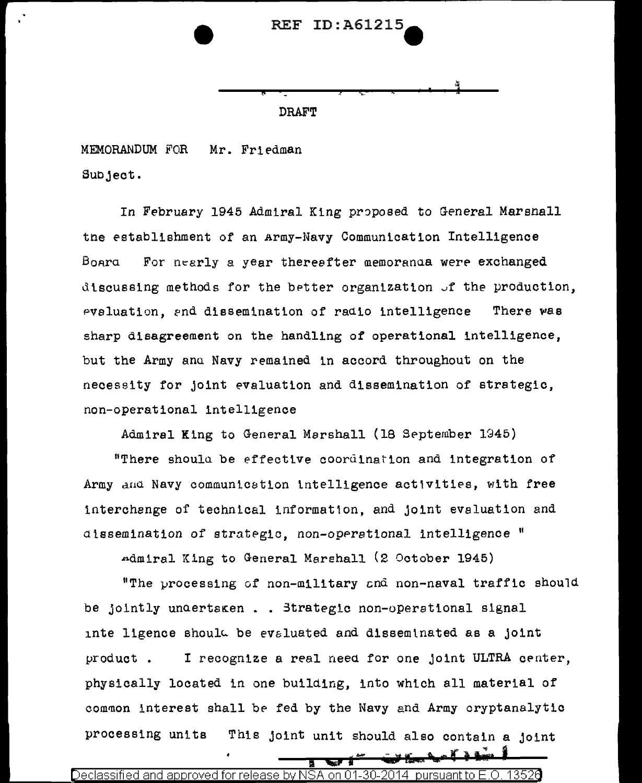## **REF ID:A61215**

**DRAFT** 

MEMORANDUM FOR Mr. Friedman Subject.

In February 1945 Admiral King proposed to General Marshall the establishment of an Army-Navy Communication Intelligence Board For nearly a year theresfter memoranda were exchanged discussing methods for the better organization of the production, evaluation, and dissemination of radio intelligence There was sharp disagreement on the handling of operational intelligence, but the Army and Navy remained in accord throughout on the necessity for joint evaluation and dissemination of strategic, non-operational intelligence

Admiral King to General Marshall (18 September 1945)

"There should be effective coordination and integration of Army and Navy communication intelligence activities, with free interchange of technical information, and joint evaluation and dissemination of strategic, non-operational intelligence "

Admiral King to General Marshall (2 October 1945)

"The processing of non-military and non-naval traffic should be jointly unaertsken.. Strategic non-operational signal inte ligence should be evaluated and disseminated as a joint I recognize a real need for one joint ULTRA center, product. physically located in one building, into which all material of common interest shall be fed by the Navy and Army cryptanalytic This joint unit should also contain a joint processing units

Declassified and approved for release by NSA on 01-30-2014 pursuant to E.O.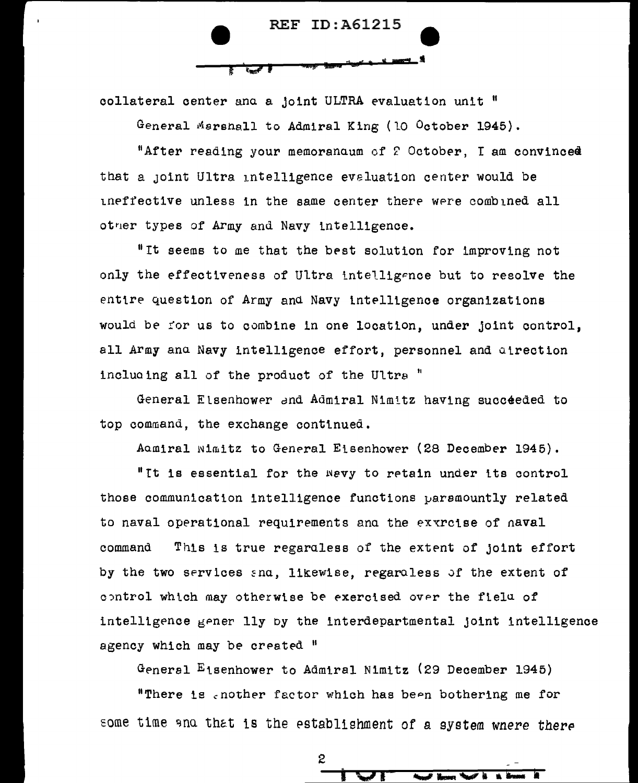

collateral center and a joint ULTRA evaluation unit "

General Marshall to Admiral King (10 October 1945).

"After reading your memoranoum of 2 October, I am convinced that a joint Ultra intelligence evaluation center would be ineffective unless in the same center there were combined all other types of Army and Navy intelligence.

"It seems to me that the best solution for improving not only the effectiveness of Ultra intelligence but to resolve the entire question of Army and Navy intelligence organizations would be for us to combine in one location, under joint control, all Army and Navy intelligence effort, personnel and direction including all of the product of the Ultra "

General Elsenhower and Admiral Nimitz having succeeded to top command, the exchange continued.

Admiral wimitz to General Eisenhower (28 December 1945).

"It is essential for the wevy to retain under its control those communication intelligence functions paramountly related to naval operational requirements and the extrcise of naval This is true regaraless of the extent of joint effort command by the two services and, likewise, regardless of the extent of control which may otherwise be exercised over the fielu of intelligence gener lly by the interdepartmental joint intelligence agency which may be created "

General Eisenhower to Admiral Nimitz (29 December 1945)

"There is enother factor which has been bothering me for some time and that is the establishment of a system wnere there

2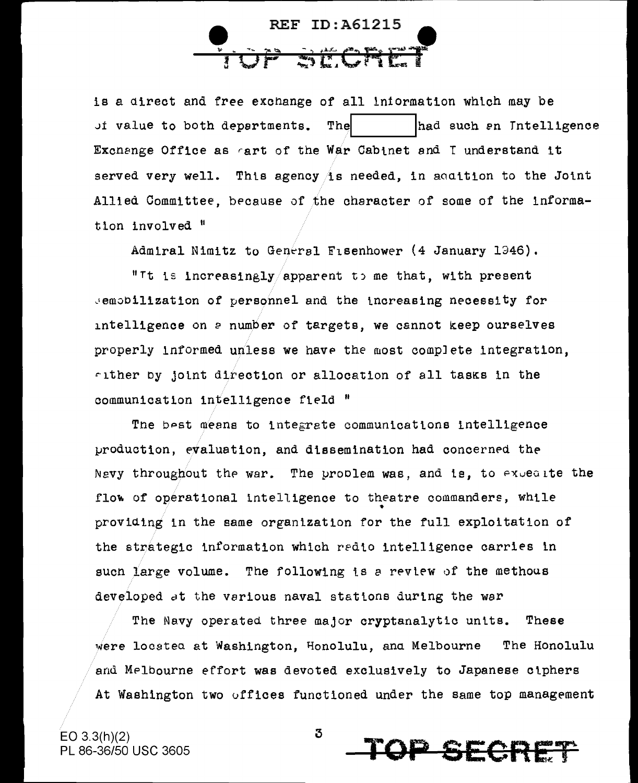**REF ID: A61215** 

is a direct and free exchange of all information which may be of value to both departments. Thel had such en Intelligence Exchange Office as art of the War Cabinet and I understand it served very well. This agency is needed, in addition to the Joint Allied Committee, because of the character of some of the information involved "

Admiral Nimitz to General Fisenhower (4 January 1346).

"It is increasingly/apparent to me that, with present semobilization of personnel and the increasing necessity for intelligence on a number of targets, we cannot keep ourselves properly informed unless we have the most complete integration, fither by joint direction or allocation of all tasks in the communication intelligence field "

The best means to integrate communications intelligence production, evaluation, and dissemination had concerned the Nevy throughout the war. The problem was, and is, to expect the flow of operational intelligence to theatre commanders, while providing in the same organization for the full exploitation of the strategic information which redio intelligence carries in such large volume. The following is a review of the methous developed at the various naval stations during the war

The Navy operated three major cryptanalytic units. These were locatea at Washington, Honolulu, ana Melbourne The Honolulu and Melbourne effort was devoted exclusively to Japanese ciphers At Washington two offices functioned under the same top management



3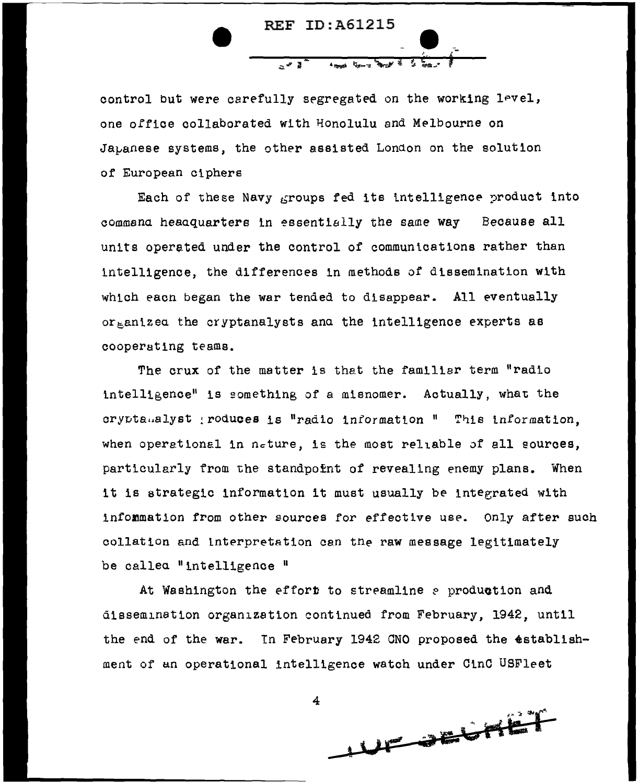

control but were carefully segregated on the working level, one office collaborated with Honolulu and Melbourne on Japanese systems, the other assisted London on the solution of European ciphers

Each of these Navy groups fed its intelligence product into command headquarters in essentially the same way Because all units operated under the control of communications rather than intelligence, the differences in methods of dissemination with which eacn began the war tended to disappear. All eventually or enized the cryptanalysts and the intelligence experts as cooperating teams.

The crux of the matter is that the familiar term "radio intelligence" is something of a misnomer. Actually, what the cryptanalyst poduces is "radio information " This information. when operational in neture, is the most reliable of all sources, particularly from the standpoint of revealing enemy plans. When it is strategic information it must usually be integrated with information from other sources for effective use. Only after such collation and interpretation can the raw message legitimately be called "intelligence"

At Washington the effort to streamline a production and dissemination organization continued from February, 1942, until the end of the war. In February 1942 CNO proposed the establishment of an operational intelligence watch under CinC USFleet

4 UF OFFICET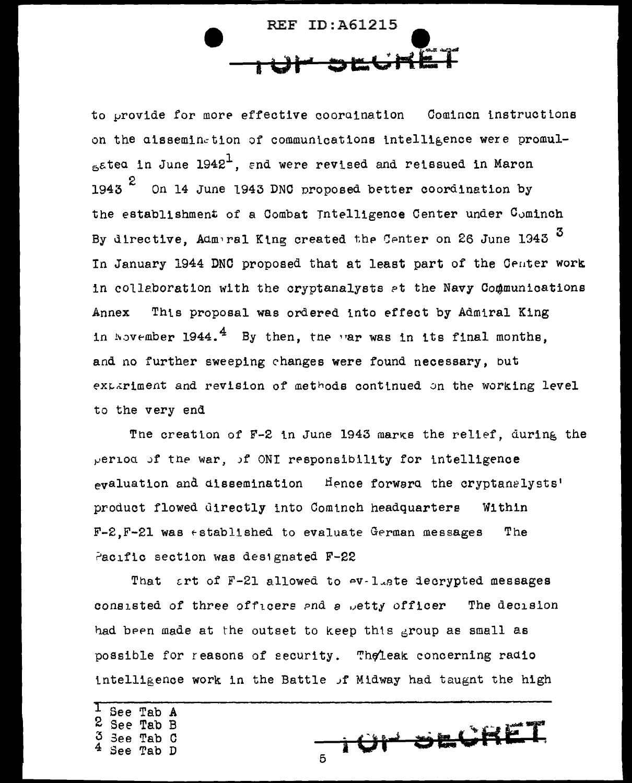**REF ID: A61215** 

to provide for more effective coordination Comincn instructions on the aissemination of communications intelligence were promulaated in June 1942<sup>1</sup>, and were revised and reissued in March 1943  $z$  On 14 June 1943 DNC proposed better coordination by the establishment of a Combat Intelligence Center under Cominch By directive, Admeral King created the Center on 26 June 1943 3 In January 1944 DNC proposed that at least part of the Center work in collaboration with the cryptanalysts at the Navy Communications This proposal was ordered into effect by Admiral King Annex in November 1944.<sup>4</sup> By then, the var was in its final months, and no further sweeping changes were found necessary, but extariment and revision of methods continued on the working level to the very end

The creation of F-2 in June 1943 marks the relief, during the period of the war, of ONI responsibility for intelligence evaluation and dissemination Hence forward the cryptanelysts' product flowed directly into Cominch headquarters Within  $F - 2. F - 21$  was established to evaluate German messages The Pacific section was designated F-22

That art of  $F-21$  allowed to  $-V-1$  ate decrypted messages consisted of three officers and a petty officer The decision had been made at the outset to keep this group as small as possible for reasons of security. Theleak concerning radio intelligence work in the Battle of Midway had taugnt the high

See Tab A 2 See Tab B Tab C

TOP SECRET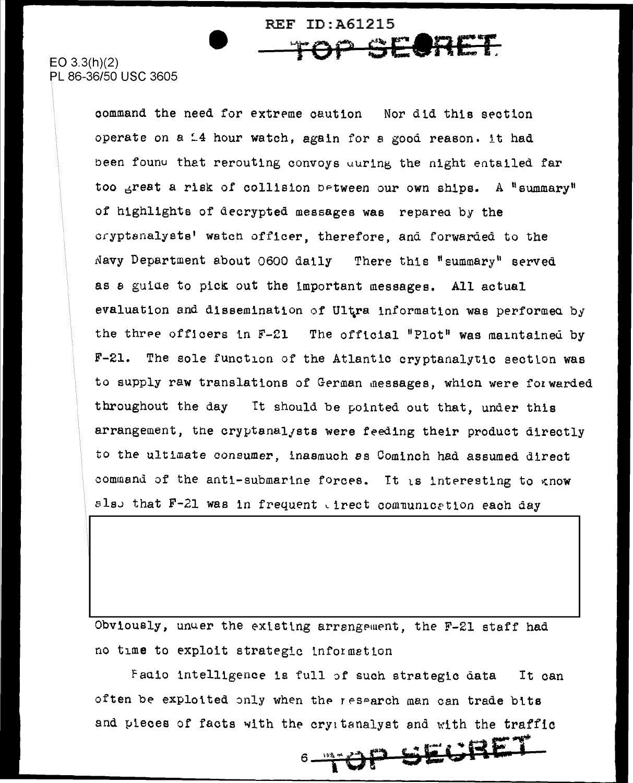EO 3.3(h)(2) **TOP SECRET** 86-36/50 USC 3605

command the need for extreme caution Nor did this section operate on a  $14$  hour watch, again for a good reason. it had been found that rerouting convoys during the night entailed far too  $6r$ reat a risk of collision between our own ships. A "summary" of highlights of decrypted messages was reparea by the cryptenalyste' watcn officer, therefore, and forwarded to the Navy Department about 0600 daily There this "summary" served as a guide to pick out the important messages. All actual evaluation and dissemination of Ultra information was performed by the three officers in  $F-Z1$  The official "Plot" was maintained by F-21. The sole function of the Atlantic cryptanalytic section was to supply raw translations of German messages, which were forwarded throughout the day It should be pointed out that, under this arrangement, the cryptanalysts were feeding their product directly to the ultimate consumer, inasmuch *es* Comlnch had assumed direct command of the anti-submarine forces. It is interesting to know also that  $F-21$  was in frequent tirect communication each day

REF ID:A61215

Obviously, unuer the existing arrangement, the F-21 staff had no time to exploit strategic tnformetton

Fauio intelligence is full of such strategic data It can often be exploited only when the research man can trade bits and pieces of facts with the cryptanalyst and with the traffic

**E .......**  <sup>6</sup>~\~~,~~o~P~c~~ &.i!i-·i'\t...~~ **ftA-11\_. ..... 1-**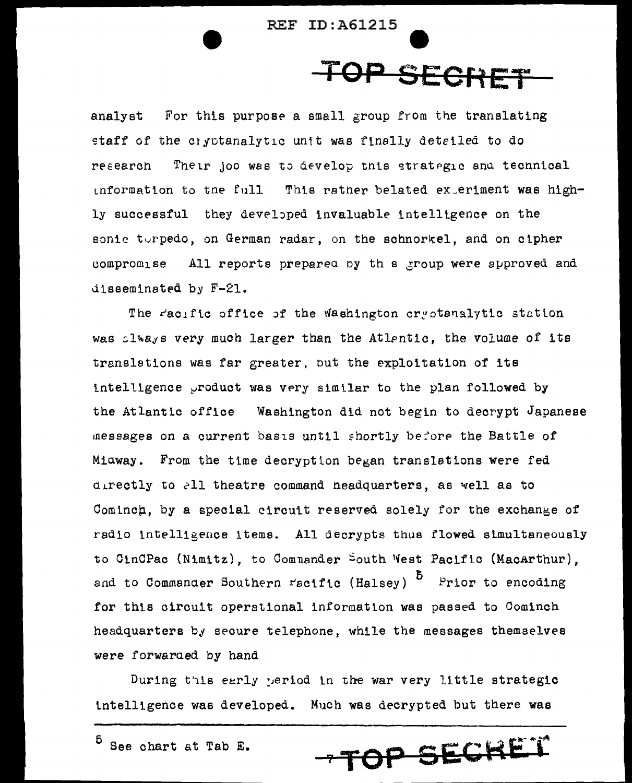## TOP SECRET

analyst For this purpose a small group from the translating staff of the cryptanalytic unit was finally detailed to do Their joo was to develop this strategic and technical research information to the full This rather belated exteriment was highly successful they developed invaluable intelligence on the sonic turpedo, on German radar, on the schnorkel, and on cipher compromise All reports prepared by this group were approved and disseminated by F-21.

The racific office of the Washington cryptanalytic station was clways very much larger than the Atlentic, the volume of its translations was far greater, but the exploitation of its intelligence product was very similar to the plan followed by the Atlantic office Washington did not begin to decrypt Japanese messages on a current basis until shortly before the Battle of Miaway. From the time decryption began translations were fed directly to all theatre command neadquarters, as well as to Cominch, by a special circuit reserved solely for the exchange of radio intelligence items. All decrypts thus flowed simultaneously to CinCPac (Nimitz), to Commander South West Pacific (MacArthur). and to Commander Southern Facific (Halsey) <sup>5</sup> Prior to encoding for this circuit operational information was passed to Cominch headquarters by secure telephone, while the messages themselves were forwarded by hand

During this early weriod in the war very little strategic intelligence was developed. Much was decrypted but there was

-TOP SECKET

 $5$  See chart at Tab E.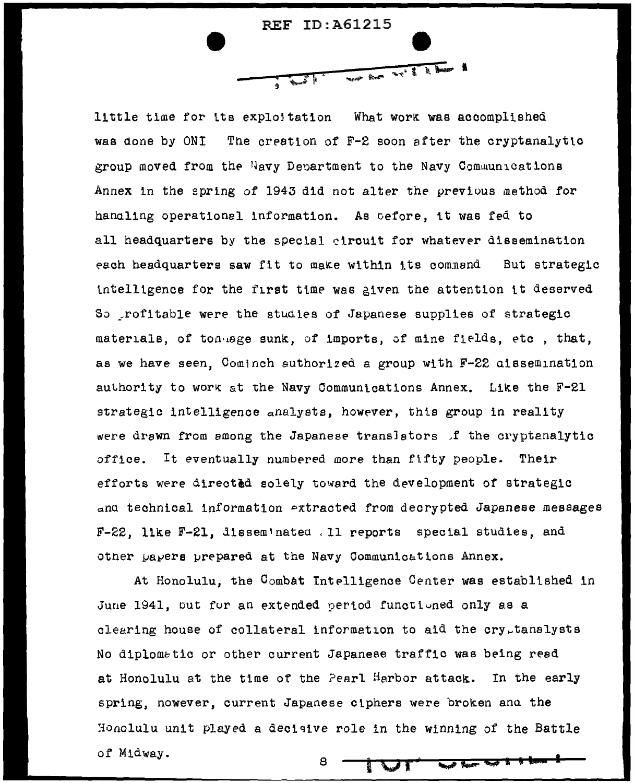

little time for its exploitation What work was accomplished was done by ONI The creation of F-2 soon after the cryptanalytic group moved from the Navy Department to the Navy Communications Annex in the spring of 1943 did not alter the previous method for handling operationel information. As before, it was fed to all headquarters by the special ctroutt for whatever dissemination each headquarters saw fit to make within its command But strategic intelligence for the first time was given the attention it deserved So profitable were the studies of Japanese supplies of strategic materials, of ton age sunk, of imports, of mine fields, etc , that, as we have seen. Cominch suthorized a group with F-22 aissemination authority to work at the Navy Communications Annex. Like the  $F-21$ strategic intelligence analysts, however, this group in reality were drawn from among the Japanese translators f the cryptanalytic office. It eventually numbered more than fifty people. Their efforts were directed solely toward the development of strategic ana technical information extracted from decrypted Japanese messages  $F-22$ , like  $F-21$ , dissem nated . 11 reports special studies, and other papers prepared at the Navy Communications Annex.

At Honolulu, the Combat Intelligence Center was established in June 1941, but for an extended period functioned only as a clearing house of collateral information to aid the cry<sub>r</sub>tanalysts No diplomatic or other current Japanese traffic was being read at Honolulu at the time of the Pearl Harbor attack. In the early spring, nowever, current Japanese ciphers were broken anu the Honolulu unit played a decisive role in the winning of the Battle of Midway. 8 i Vi **Mail Sear**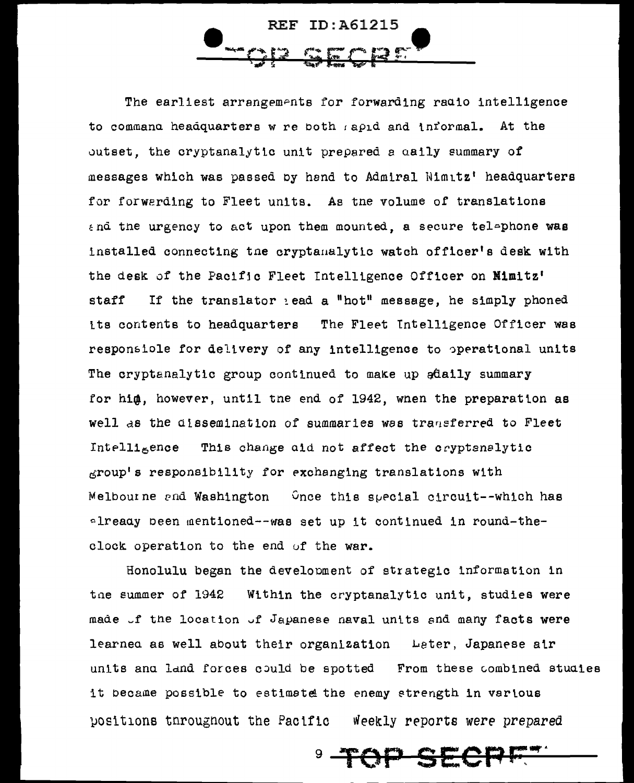ID: A61215 REF.

The earliest arrangements for forwarding radio intelligence to commana headquarters w re both sapid and informal. At the outset, the cryptanalytic unit prepared a caily summary of messages which was passed by hand to Admiral Nimitz' headquarters for forwarding to Fleet units. As the volume of translations and the urgency to act upon them mounted, a secure telephone was installed connecting the cryptamalytic watch officer's desk with the desk of the Pacific Fleet Intelligence Officer on Mimitz' If the translator lead a "hot" message, he simply phoned staff its contents to headquarters The Fleet Intelligence Officer was responsiole for delivery of any intelligence to operational units The cryptanalytic group continued to make up adaily summary for him, however, until the end of 1942, when the preparation as well as the dissemination of summaries was transferred to Fleet Intelligence This change aid not affect the cryptanalytic group's responsibility for exchanging translations with Melbourne and Washington Chee this special circuit--which has already been mentioned--was set up it continued in round-theclock operation to the end of the war.

Honolulu began the development of strategic information in the summer of 1942 Within the cryptanalytic unit, studies were made of the location of Japanese naval units and many facts were learned as well about their organization Leter, Japanese air units and land forces could be spotted From these combined studies it became possible to estimate the enemy strength in various positions throughout the Pacific Weekly reports were prepared

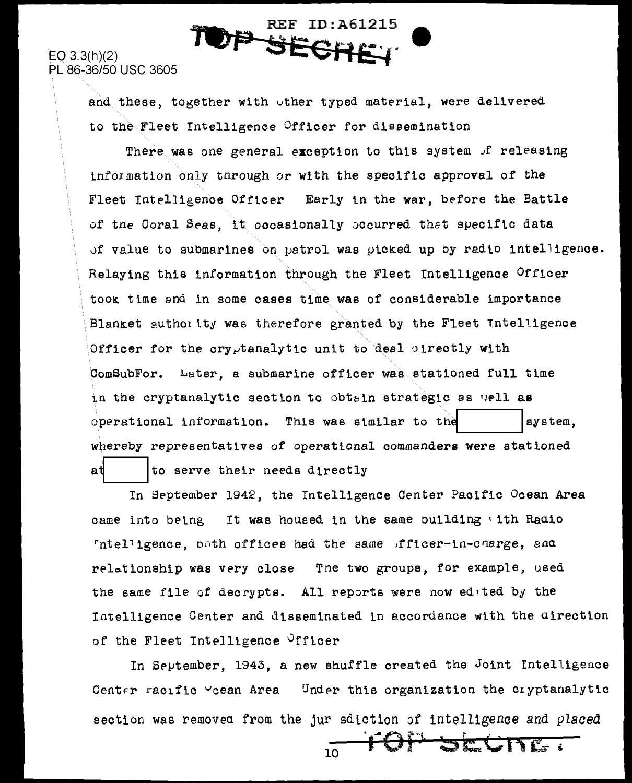**REF ID:A61215** 2 SPC

 $EO 3.3(h)(2)$ 

PL 86-36/50 USC 3605

and these, together with other typed material, were delivered to the Fleet Intelligence Officer for dissemination

There was one general exception to this system of releasing information only through or with the specific approval of the Fleet Intelligence Officer Early in the war, before the Battle of the Coral Seas, it occasionally occurred that specific data of value to submarines on patrol was picked up by radio intelligence. Relaying this information through the Fleet Intelligence Officer took time and in some cases time was of considerable importance Blanket authority was therefore granted by the Fleet Intelligence Officer for the cryptanalytic unit to deal cirectly with ComSubFor. Later, a submarine officer was stationed full time in the cryptanalytic section to obtain strategic as well as This was similar to the operational information. system. whereby representatives of operational commanders were stationed at to serve their needs directly

In September 1942, the Intelligence Center Pacific Ocean Area came into being It was housed in the same building tith Radio "ntelligence, both offices had the same fficer-in-charge, and relationship was very close The two groups, for example, used the same file of decrypts. All reports were now edited by the Intelligence Center and disseminated in accordance with the direction of the Fleet Intelligence Officer

In September, 1943, a new shuffle created the Joint Intelligence Center racific Veean Area Under this organization the cryptanalytic section was removed from the jur sdiction of intelligence and placed

**EGITE:**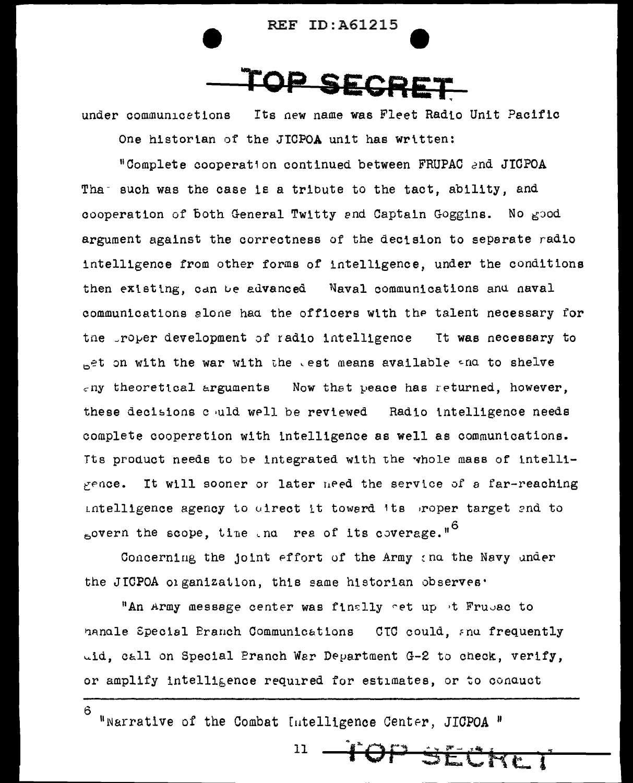



under communications Its new name was Fleet Radio Unit Pacific

One historian of the JICPOA unit has written:

"Complete cooperation continued between FRUPAC and JICPOA Tha such was the case is a tribute to the tact, ability, and cooperation of both General Twitty and Captain Goggins. No good argument against the correctness of the decision to separate radio intelligence from other forms of intelligence, under the conditions then existing, can be advanced Naval communications and naval communications alone had the officers with the talent necessary for the proper development of radio intelligence It was necessary to  $_{\text{D}}$ et on with the war with the test means available and to shelve  $\varepsilon$ ny theoretical arguments Now that peace has returned, however, these decisions chuld well be reviewed Radio intelligence needs complete cooperation with intelligence as well as communications. Tts product needs to be integrated with the whole mass of intelli $x = 0$ It will sooner or later need the service of a far-reaching intelligence agency to oirect it toward its proper target and to sovern the scope, time and rea of its coverage."<sup>6</sup>

Concerning the joint effort of the Army and the Navy under the JICPOA organization, this same historian observes.

"An Army message center was finally net up it Frubac to hanale Special Branch Communications CTC could, and frequently uid, call on Special Pranch War Department G-2 to check, verify, or amplify intelligence required for estimates, or to conquet

"Narrative of the Combat Intelligence Center, JICPOA "

6

11 TOP SECKE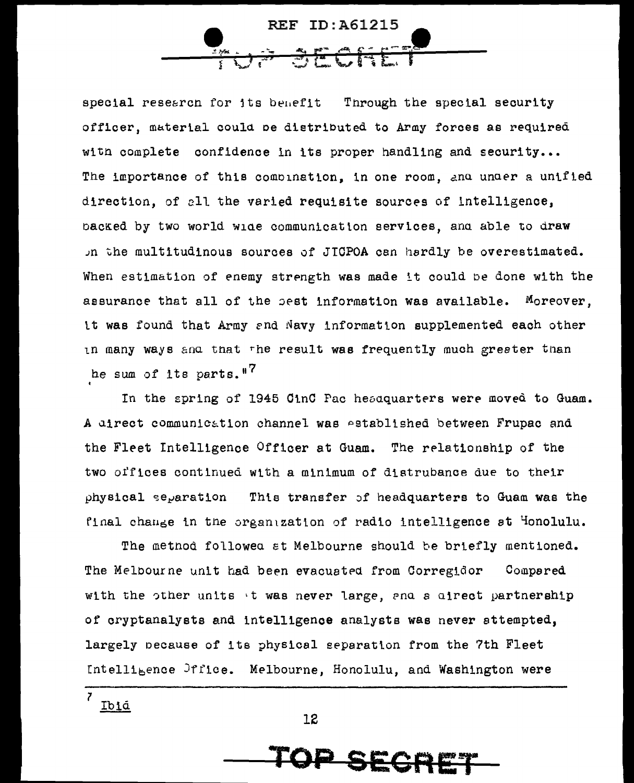

special research for its benefit Through the special security officer, material could be distributed to Army forces as required with complete confidence in its proper handling and security... The importance of this combination, in one room, and under a unified direction, of all the varied requisite sources of intelligence, backed by two world wide communication services, and able to draw the multitudinous sources of JICPOA can hardly be overestimated. When estimation of enemy strength was made it could be done with the assurance that all of the pest information was available. Moreover, it was found that Army and Navy information supplemented each other in many ways and that the result was frequently much greeter than he sum of its parts."<sup>7</sup>

In the spring of 1945 CinC Pac hesdquarters were moved to Guam. A direct communication channel was established between Frupac and the Fleet Intelligence Officer at Guam. The relationship of the two offices continued with a minimum of distrubance due to their physical separation This transfer of headquarters to Guam was the final change in the organization of radio intelligence at Honolulu.

The method followed at Melbourne should be briefly mentioned. The Melbourne unit had been evacuated from Corregidor Compared with the other units it was never large, and a direct partnership of cryptanalysts and intelligence analysts was never sttempted, largely pecause of its physical separation from the 7th Fleet Intelligence Office. Melbourne, Honolulu, and Washington were

SECA

 $\overline{z}$ Ibid

12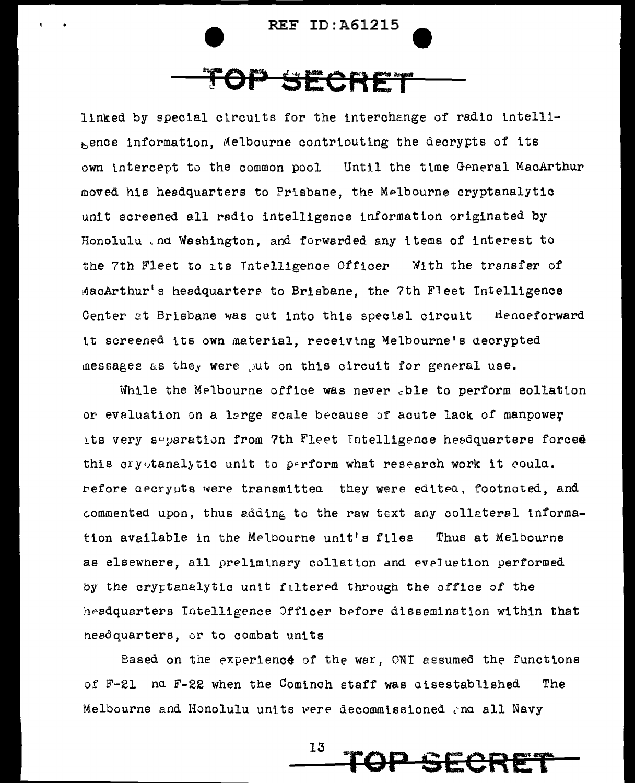

## <del>DP SECRET</del>

linked by special circuits for the interchange of radio intellibence information, Melbourne contributing the decrypts of its own intercept to the common pool Until the time General MacArthur moved his headquarters to Prisbane, the Melbourne cryptanalytic unit screened all radio intelligence information originated by Honolulu . nd Washington, and forwarded any items of interest to the 7th Fleet to its Intelligence Officer With the transfer of MacArthur's headquarters to Brisbane, the 7th Fleet Intelligence Center at Brisbane was cut into this special circuit the neeforward it screened its own material, receiving Melbourne's decrypted messages as they were put on this circuit for general use.

While the Melbourne office was never .ble to perform eollation or evaluation on a large scale because of acute lack of manpower its very separation from 7th Fleet Intelligence headquarters forced this cryptanalytic unit to perform what research work it coula. refore aecrypts were transmittea they were editea, footnoted, and commented upon, thus adding to the raw text any collateral information available in the Melbourne unit's files Thus at Melbourne as elsewnere, all preliminary collation and eveluation performed by the cryptanalytic unit filtered through the office of the heedquarters Intelligence Officer before dissemination within that headquarters, or to combat units

Based on the experience of the war, ONI assumed the functions of F-21 nd F-22 when the Cominch staff was aisestablished The Melbourne and Honolulu units were decommissioned and all Navy